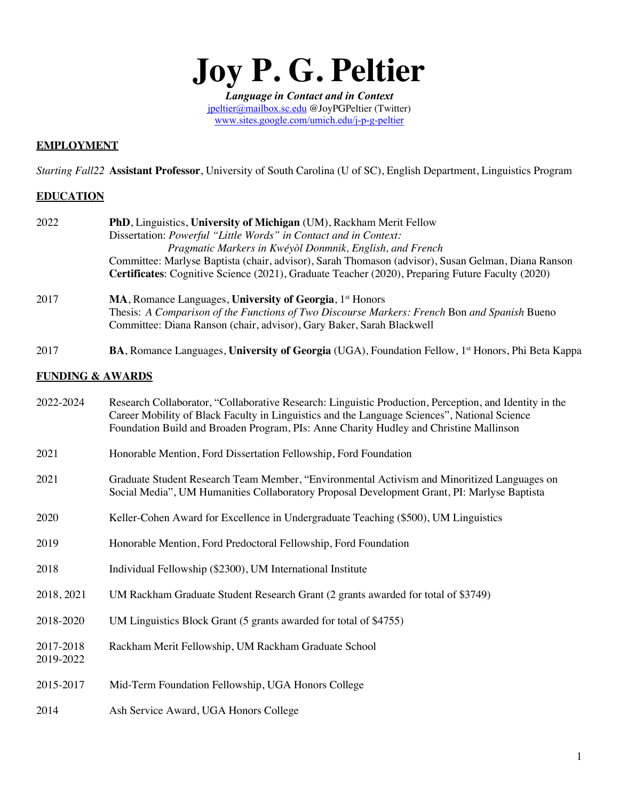

*Language in Contact and in Context* jpeltier@mailbox.sc.edu @JoyPGPeltier (Twitter) www.sites.google.com/umich.edu/j-p-g-peltier

# **EMPLOYMENT**

*Starting Fall22* **Assistant Professor**, University of South Carolina (U of SC), English Department, Linguistics Program

# **EDUCATION**

| 2022 | PhD, Linguistics, University of Michigan (UM), Rackham Merit Fellow                                                  |
|------|----------------------------------------------------------------------------------------------------------------------|
|      | Dissertation: Powerful "Little Words" in Contact and in Context:                                                     |
|      | Pragmatic Markers in Kwéyòl Donmnik, English, and French                                                             |
|      | Committee: Marlyse Baptista (chair, advisor), Sarah Thomason (advisor), Susan Gelman, Diana Ranson                   |
|      | <b>Certificates:</b> Cognitive Science (2021), Graduate Teacher (2020), Preparing Future Faculty (2020)              |
| 2017 | <b>MA, Romance Languages, University of Georgia, 1st Honors</b>                                                      |
|      | Thesis: A Comparison of the Functions of Two Discourse Markers: French Bon and Spanish Bueno                         |
|      | Committee: Diana Ranson (chair, advisor), Gary Baker, Sarah Blackwell                                                |
| 2017 | <b>BA, Romance Languages, University of Georgia</b> (UGA), Foundation Fellow, 1 <sup>st</sup> Honors, Phi Beta Kappa |
|      |                                                                                                                      |

# **FUNDING & AWARDS**

| 2022-2024              | Research Collaborator, "Collaborative Research: Linguistic Production, Perception, and Identity in the<br>Career Mobility of Black Faculty in Linguistics and the Language Sciences", National Science<br>Foundation Build and Broaden Program, PIs: Anne Charity Hudley and Christine Mallinson |  |  |  |
|------------------------|--------------------------------------------------------------------------------------------------------------------------------------------------------------------------------------------------------------------------------------------------------------------------------------------------|--|--|--|
| 2021                   | Honorable Mention, Ford Dissertation Fellowship, Ford Foundation                                                                                                                                                                                                                                 |  |  |  |
| 2021                   | Graduate Student Research Team Member, "Environmental Activism and Minoritized Languages on<br>Social Media", UM Humanities Collaboratory Proposal Development Grant, PI: Marlyse Baptista                                                                                                       |  |  |  |
| 2020                   | Keller-Cohen Award for Excellence in Undergraduate Teaching (\$500), UM Linguistics                                                                                                                                                                                                              |  |  |  |
| 2019                   | Honorable Mention, Ford Predoctoral Fellowship, Ford Foundation                                                                                                                                                                                                                                  |  |  |  |
| 2018                   | Individual Fellowship (\$2300), UM International Institute                                                                                                                                                                                                                                       |  |  |  |
| 2018, 2021             | UM Rackham Graduate Student Research Grant (2 grants awarded for total of \$3749)                                                                                                                                                                                                                |  |  |  |
| 2018-2020              | UM Linguistics Block Grant (5 grants awarded for total of \$4755)                                                                                                                                                                                                                                |  |  |  |
| 2017-2018<br>2019-2022 | Rackham Merit Fellowship, UM Rackham Graduate School                                                                                                                                                                                                                                             |  |  |  |
| 2015-2017              | Mid-Term Foundation Fellowship, UGA Honors College                                                                                                                                                                                                                                               |  |  |  |
| 2014                   | Ash Service Award, UGA Honors College                                                                                                                                                                                                                                                            |  |  |  |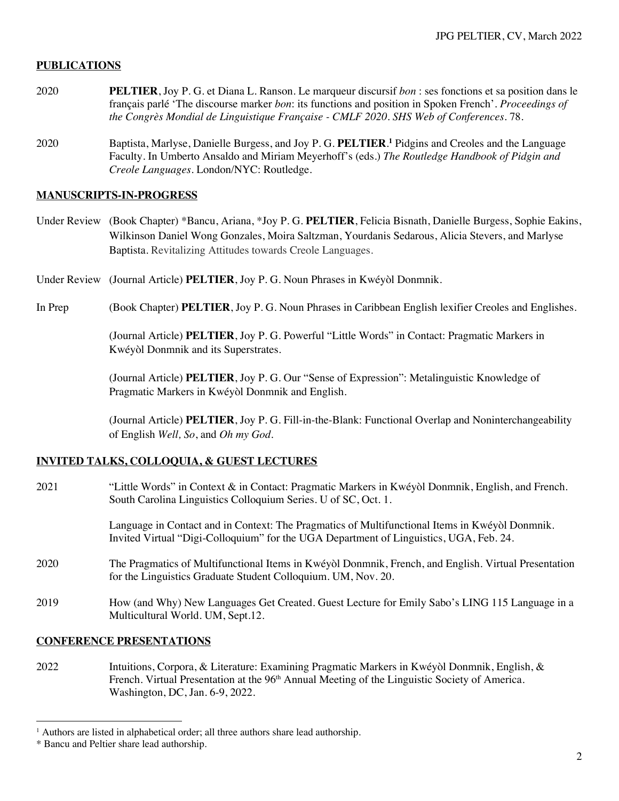## **PUBLICATIONS**

- 2020 **PELTIER**, Joy P. G. et Diana L. Ranson. Le marqueur discursif *bon* : ses fonctions et sa position dans le français parlé 'The discourse marker *bon*: its functions and position in Spoken French'. *Proceedings of the Congrès Mondial de Linguistique Française - CMLF 2020. SHS Web of Conferences*. 78.
- 2020 Baptista, Marlyse, Danielle Burgess, and Joy P. G. **PELTIER**. **<sup>1</sup>** Pidgins and Creoles and the Language Faculty. In Umberto Ansaldo and Miriam Meyerhoff's (eds.) *The Routledge Handbook of Pidgin and Creole Languages*. London/NYC: Routledge.

## **MANUSCRIPTS-IN-PROGRESS**

- Under Review (Book Chapter) \*Bancu, Ariana, \*Joy P. G. **PELTIER**, Felicia Bisnath, Danielle Burgess, Sophie Eakins, Wilkinson Daniel Wong Gonzales, Moira Saltzman, Yourdanis Sedarous, Alicia Stevers, and Marlyse Baptista. Revitalizing Attitudes towards Creole Languages.
- Under Review (Journal Article) **PELTIER**, Joy P. G. Noun Phrases in Kwéyòl Donmnik.
- In Prep (Book Chapter) **PELTIER**, Joy P. G. Noun Phrases in Caribbean English lexifier Creoles and Englishes.

(Journal Article) **PELTIER**, Joy P. G. Powerful "Little Words" in Contact: Pragmatic Markers in Kwéyòl Donmnik and its Superstrates.

(Journal Article) **PELTIER**, Joy P. G. Our "Sense of Expression": Metalinguistic Knowledge of Pragmatic Markers in Kwéyòl Donmnik and English.

(Journal Article) **PELTIER**, Joy P. G. Fill-in-the-Blank: Functional Overlap and Noninterchangeability of English *Well, So*, and *Oh my God*.

## **INVITED TALKS, COLLOQUIA, & GUEST LECTURES**

2021 "Little Words" in Context & in Contact: Pragmatic Markers in Kwéyòl Donmnik, English, and French. South Carolina Linguistics Colloquium Series. U of SC, Oct. 1.

> Language in Contact and in Context: The Pragmatics of Multifunctional Items in Kwéyòl Donmnik. Invited Virtual "Digi-Colloquium" for the UGA Department of Linguistics, UGA, Feb. 24.

- 2020 The Pragmatics of Multifunctional Items in Kwéyòl Donmnik, French, and English. Virtual Presentation for the Linguistics Graduate Student Colloquium. UM, Nov. 20.
- 2019 How (and Why) New Languages Get Created. Guest Lecture for Emily Sabo's LING 115 Language in a Multicultural World. UM, Sept.12.

### **CONFERENCE PRESENTATIONS**

2022 Intuitions, Corpora, & Literature: Examining Pragmatic Markers in Kwéyòl Donmnik, English, & French. Virtual Presentation at the 96<sup>th</sup> Annual Meeting of the Linguistic Society of America. Washington, DC, Jan. 6-9, 2022.

<sup>&</sup>lt;sup>1</sup> Authors are listed in alphabetical order; all three authors share lead authorship.

<sup>\*</sup> Bancu and Peltier share lead authorship.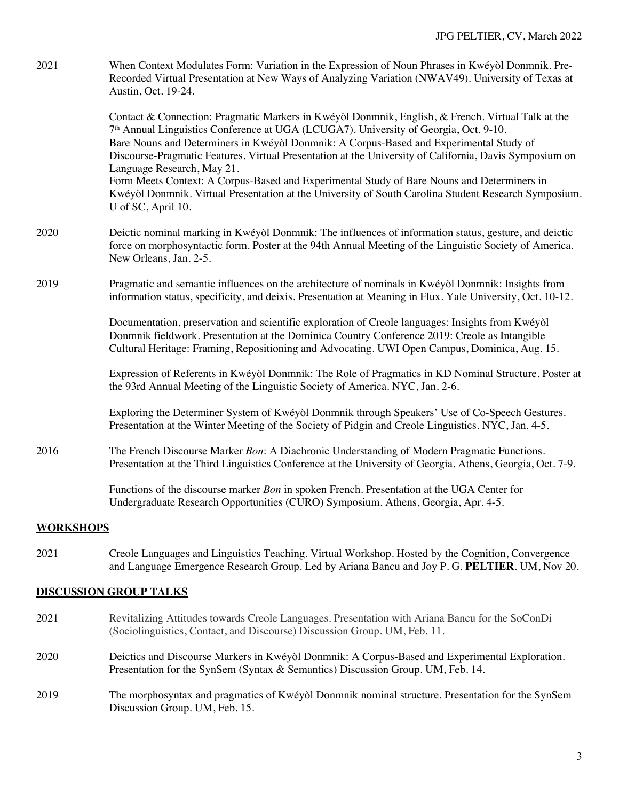| 2021             | When Context Modulates Form: Variation in the Expression of Noun Phrases in Kwéyòl Donmnik. Pre-<br>Recorded Virtual Presentation at New Ways of Analyzing Variation (NWAV49). University of Texas at<br>Austin, Oct. 19-24.                                                                                                                                                                                                                                                                                                                                                                                                                                        |  |  |  |
|------------------|---------------------------------------------------------------------------------------------------------------------------------------------------------------------------------------------------------------------------------------------------------------------------------------------------------------------------------------------------------------------------------------------------------------------------------------------------------------------------------------------------------------------------------------------------------------------------------------------------------------------------------------------------------------------|--|--|--|
|                  | Contact & Connection: Pragmatic Markers in Kwéyòl Donmnik, English, & French. Virtual Talk at the<br>7 <sup>th</sup> Annual Linguistics Conference at UGA (LCUGA7). University of Georgia, Oct. 9-10.<br>Bare Nouns and Determiners in Kwéyol Donmnik: A Corpus-Based and Experimental Study of<br>Discourse-Pragmatic Features. Virtual Presentation at the University of California, Davis Symposium on<br>Language Research, May 21.<br>Form Meets Context: A Corpus-Based and Experimental Study of Bare Nouns and Determiners in<br>Kwéyòl Donmnik. Virtual Presentation at the University of South Carolina Student Research Symposium.<br>U of SC, April 10. |  |  |  |
| 2020             | Deictic nominal marking in Kwéyol Donmnik: The influences of information status, gesture, and deictic<br>force on morphosyntactic form. Poster at the 94th Annual Meeting of the Linguistic Society of America.<br>New Orleans, Jan. 2-5.                                                                                                                                                                                                                                                                                                                                                                                                                           |  |  |  |
| 2019             | Pragmatic and semantic influences on the architecture of nominals in Kwéyol Donmnik: Insights from<br>information status, specificity, and deixis. Presentation at Meaning in Flux. Yale University, Oct. 10-12.                                                                                                                                                                                                                                                                                                                                                                                                                                                    |  |  |  |
|                  | Documentation, preservation and scientific exploration of Creole languages: Insights from Kwéyòl<br>Donmnik fieldwork. Presentation at the Dominica Country Conference 2019: Creole as Intangible<br>Cultural Heritage: Framing, Repositioning and Advocating. UWI Open Campus, Dominica, Aug. 15.                                                                                                                                                                                                                                                                                                                                                                  |  |  |  |
|                  | Expression of Referents in Kwéyòl Donmnik: The Role of Pragmatics in KD Nominal Structure. Poster at<br>the 93rd Annual Meeting of the Linguistic Society of America. NYC, Jan. 2-6.                                                                                                                                                                                                                                                                                                                                                                                                                                                                                |  |  |  |
|                  | Exploring the Determiner System of Kwéyòl Donmnik through Speakers' Use of Co-Speech Gestures.<br>Presentation at the Winter Meeting of the Society of Pidgin and Creole Linguistics. NYC, Jan. 4-5.                                                                                                                                                                                                                                                                                                                                                                                                                                                                |  |  |  |
| 2016             | The French Discourse Marker Bon: A Diachronic Understanding of Modern Pragmatic Functions.<br>Presentation at the Third Linguistics Conference at the University of Georgia. Athens, Georgia, Oct. 7-9.                                                                                                                                                                                                                                                                                                                                                                                                                                                             |  |  |  |
|                  | Functions of the discourse marker <i>Bon</i> in spoken French. Presentation at the UGA Center for<br>Undergraduate Research Opportunities (CURO) Symposium. Athens, Georgia, Apr. 4-5.                                                                                                                                                                                                                                                                                                                                                                                                                                                                              |  |  |  |
| <b>WORKSHOPS</b> |                                                                                                                                                                                                                                                                                                                                                                                                                                                                                                                                                                                                                                                                     |  |  |  |

2021 Creole Languages and Linguistics Teaching. Virtual Workshop. Hosted by the Cognition, Convergence and Language Emergence Research Group. Led by Ariana Bancu and Joy P. G. **PELTIER**. UM, Nov 20.

# **DISCUSSION GROUP TALKS**

| 2021 | Revitalizing Attitudes towards Creole Languages. Presentation with Ariana Bancu for the SoConDi<br>(Sociolinguistics, Contact, and Discourse) Discussion Group. UM, Feb. 11.      |  |
|------|-----------------------------------------------------------------------------------------------------------------------------------------------------------------------------------|--|
| 2020 | Deictics and Discourse Markers in Kwéyòl Donmnik: A Corpus-Based and Experimental Exploration.<br>Presentation for the SynSem (Syntax & Semantics) Discussion Group. UM, Feb. 14. |  |
| 2019 | The morphosyntax and pragmatics of Kwéyol Donmnik nominal structure. Presentation for the SynSem<br>Discussion Group. UM, Feb. 15.                                                |  |